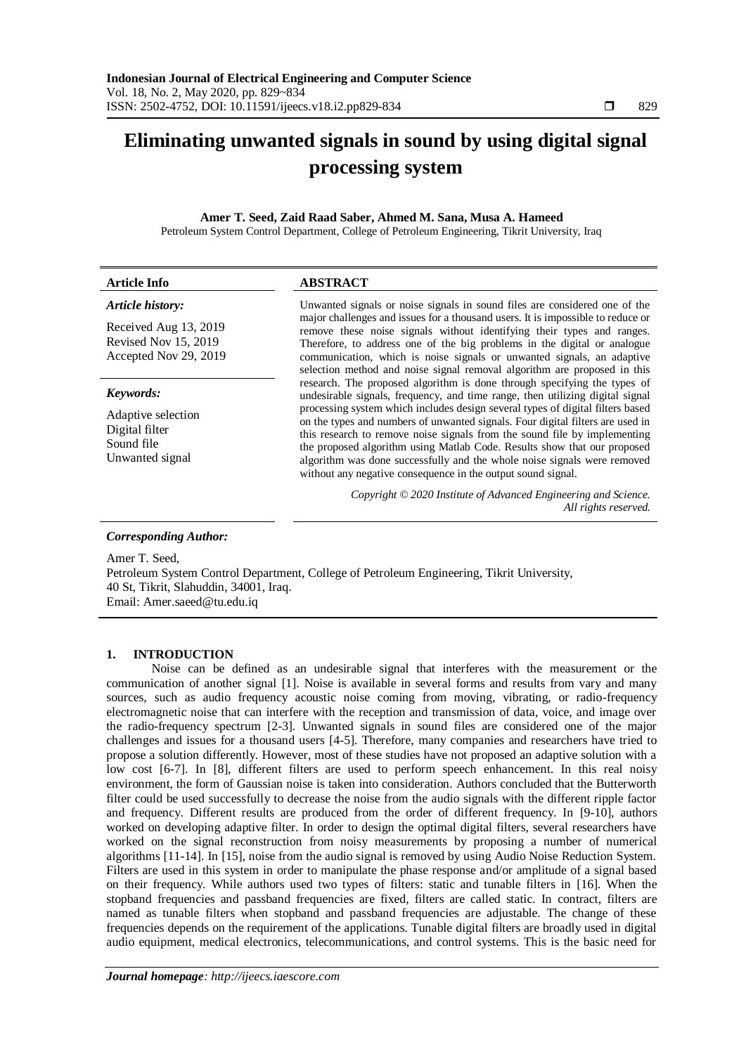# **Eliminating unwanted signals in sound by using digital signal processing system**

## **Amer T. Seed, Zaid Raad Saber, Ahmed M. Sana, Musa A. Hameed**

Petroleum System Control Department, College of Petroleum Engineering, Tikrit University, Iraq

| <b>Article Info</b>                                                           | <b>ABSTRACT</b>                                                                                                                                                                                                                                                                                                                                                                                                                                                                                                                                                                                                                                                                                                                                                                                                                                                                                                                                                                                                                                                                                                 |
|-------------------------------------------------------------------------------|-----------------------------------------------------------------------------------------------------------------------------------------------------------------------------------------------------------------------------------------------------------------------------------------------------------------------------------------------------------------------------------------------------------------------------------------------------------------------------------------------------------------------------------------------------------------------------------------------------------------------------------------------------------------------------------------------------------------------------------------------------------------------------------------------------------------------------------------------------------------------------------------------------------------------------------------------------------------------------------------------------------------------------------------------------------------------------------------------------------------|
| Article history:                                                              | Unwanted signals or noise signals in sound files are considered one of the<br>major challenges and issues for a thousand users. It is impossible to reduce or<br>remove these noise signals without identifying their types and ranges.<br>Therefore, to address one of the big problems in the digital or analogue<br>communication, which is noise signals or unwanted signals, an adaptive<br>selection method and noise signal removal algorithm are proposed in this<br>research. The proposed algorithm is done through specifying the types of<br>undesirable signals, frequency, and time range, then utilizing digital signal<br>processing system which includes design several types of digital filters based<br>on the types and numbers of unwanted signals. Four digital filters are used in<br>this research to remove noise signals from the sound file by implementing<br>the proposed algorithm using Matlab Code. Results show that our proposed<br>algorithm was done successfully and the whole noise signals were removed<br>without any negative consequence in the output sound signal. |
| Received Aug 13, 2019<br><b>Revised Nov 15, 2019</b><br>Accepted Nov 29, 2019 |                                                                                                                                                                                                                                                                                                                                                                                                                                                                                                                                                                                                                                                                                                                                                                                                                                                                                                                                                                                                                                                                                                                 |
| Keywords:                                                                     |                                                                                                                                                                                                                                                                                                                                                                                                                                                                                                                                                                                                                                                                                                                                                                                                                                                                                                                                                                                                                                                                                                                 |
| Adaptive selection<br>Digital filter<br>Sound file<br>Unwanted signal         |                                                                                                                                                                                                                                                                                                                                                                                                                                                                                                                                                                                                                                                                                                                                                                                                                                                                                                                                                                                                                                                                                                                 |
|                                                                               | Copyright © 2020 Institute of Advanced Engineering and Science.<br>All rights reserved.                                                                                                                                                                                                                                                                                                                                                                                                                                                                                                                                                                                                                                                                                                                                                                                                                                                                                                                                                                                                                         |

## *Corresponding Author:*

Amer T. Seed, Petroleum System Control Department, College of Petroleum Engineering, Tikrit University, 40 St, Tikrit, Slahuddin, 34001, Iraq. Email: Amer.saeed@tu.edu.iq

## **1. INTRODUCTION**

Noise can be defined as an undesirable signal that interferes with the measurement or the communication of another signal [1]. Noise is available in several forms and results from vary and many sources, such as audio frequency acoustic noise coming from moving, vibrating, or radio-frequency electromagnetic noise that can interfere with the reception and transmission of data, voice, and image over the radio-frequency spectrum [2-3]. Unwanted signals in sound files are considered one of the major challenges and issues for a thousand users [4-5]. Therefore, many companies and researchers have tried to propose a solution differently. However, most of these studies have not proposed an adaptive solution with a low cost [6-7]. In [8], different filters are used to perform speech enhancement. In this real noisy environment, the form of Gaussian noise is taken into consideration. Authors concluded that the Butterworth filter could be used successfully to decrease the noise from the audio signals with the different ripple factor and frequency. Different results are produced from the order of different frequency. In [9-10], authors worked on developing adaptive filter. In order to design the optimal digital filters, several researchers have worked on the signal reconstruction from noisy measurements by proposing a number of numerical algorithms [11-14]. In [15], noise from the audio signal is removed by using Audio Noise Reduction System. Filters are used in this system in order to manipulate the phase response and/or amplitude of a signal based on their frequency. While authors used two types of filters: static and tunable filters in [16]. When the stopband frequencies and passband frequencies are fixed, filters are called static. In contract, filters are named as tunable filters when stopband and passband frequencies are adjustable. The change of these frequencies depends on the requirement of the applications. Tunable digital filters are broadly used in digital audio equipment, medical electronics, telecommunications, and control systems. This is the basic need for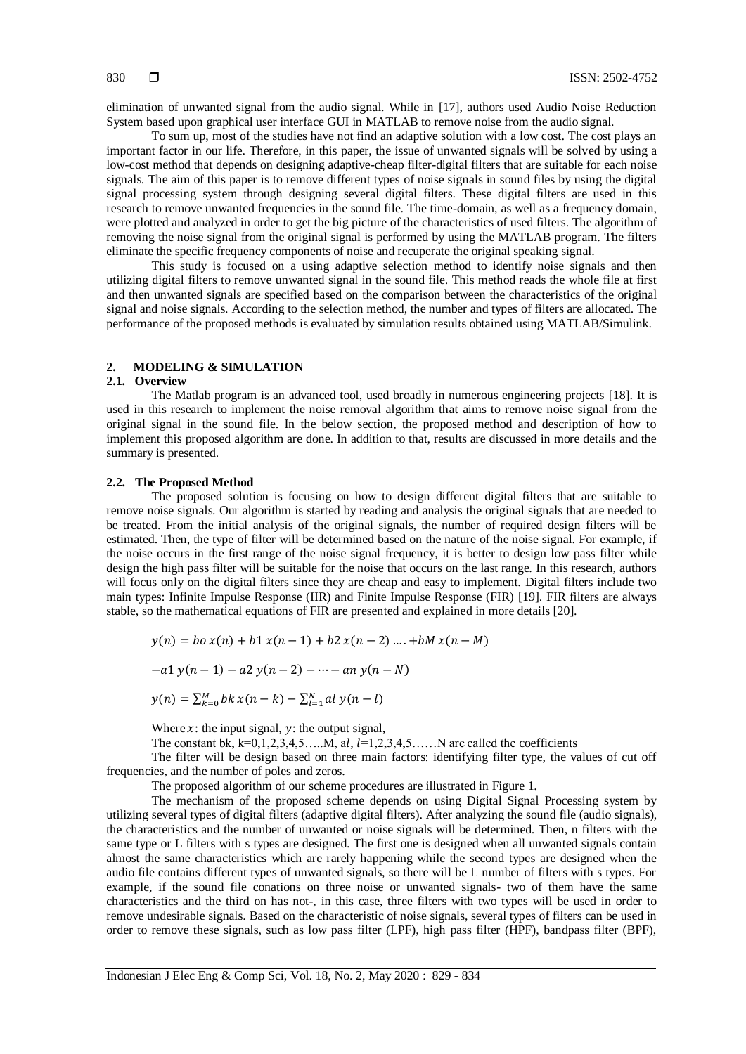elimination of unwanted signal from the audio signal. While in [17], authors used Audio Noise Reduction System based upon graphical user interface GUI in MATLAB to remove noise from the audio signal.

To sum up, most of the studies have not find an adaptive solution with a low cost. The cost plays an important factor in our life. Therefore, in this paper, the issue of unwanted signals will be solved by using a low-cost method that depends on designing adaptive-cheap filter-digital filters that are suitable for each noise signals. The aim of this paper is to remove different types of noise signals in sound files by using the digital signal processing system through designing several digital filters. These digital filters are used in this research to remove unwanted frequencies in the sound file. The time-domain, as well as a frequency domain, were plotted and analyzed in order to get the big picture of the characteristics of used filters. The algorithm of removing the noise signal from the original signal is performed by using the MATLAB program. The filters eliminate the specific frequency components of noise and recuperate the original speaking signal.

This study is focused on a using adaptive selection method to identify noise signals and then utilizing digital filters to remove unwanted signal in the sound file. This method reads the whole file at first and then unwanted signals are specified based on the comparison between the characteristics of the original signal and noise signals. According to the selection method, the number and types of filters are allocated. The performance of the proposed methods is evaluated by simulation results obtained using MATLAB/Simulink.

## **2. MODELING & SIMULATION**

#### **2.1. Overview**

The Matlab program is an advanced tool, used broadly in numerous engineering projects [18]. It is used in this research to implement the noise removal algorithm that aims to remove noise signal from the original signal in the sound file. In the below section, the proposed method and description of how to implement this proposed algorithm are done. In addition to that, results are discussed in more details and the summary is presented.

### **2.2. The Proposed Method**

The proposed solution is focusing on how to design different digital filters that are suitable to remove noise signals. Our algorithm is started by reading and analysis the original signals that are needed to be treated. From the initial analysis of the original signals, the number of required design filters will be estimated. Then, the type of filter will be determined based on the nature of the noise signal. For example, if the noise occurs in the first range of the noise signal frequency, it is better to design low pass filter while design the high pass filter will be suitable for the noise that occurs on the last range. In this research, authors will focus only on the digital filters since they are cheap and easy to implement. Digital filters include two main types: Infinite Impulse Response (IIR) and Finite Impulse Response (FIR) [19]. FIR filters are always stable, so the mathematical equations of FIR are presented and explained in more details [20].

$$
y(n) = bo x(n) + b1 x(n - 1) + b2 x(n - 2) ... + bM x(n - M)
$$

$$
-a1 y(n-1) - a2 y(n-2) - \cdots - a n y(n-N)
$$

$$
y(n) = \sum_{k=0}^{M} bk \, x(n-k) - \sum_{l=1}^{N} al \, y(n-l)
$$

Where  $x$ : the input signal,  $y$ : the output signal,

The constant bk,  $k=0,1,2,3,4,5$ ……M, al,  $l=1,2,3,4,5$ ……N are called the coefficients

The filter will be design based on three main factors: identifying filter type, the values of cut off frequencies, and the number of poles and zeros.

The proposed algorithm of our scheme procedures are illustrated in Figure 1.

The mechanism of the proposed scheme depends on using Digital Signal Processing system by utilizing several types of digital filters (adaptive digital filters). After analyzing the sound file (audio signals), the characteristics and the number of unwanted or noise signals will be determined. Then, n filters with the same type or L filters with s types are designed. The first one is designed when all unwanted signals contain almost the same characteristics which are rarely happening while the second types are designed when the audio file contains different types of unwanted signals, so there will be L number of filters with s types. For example, if the sound file conations on three noise or unwanted signals- two of them have the same characteristics and the third on has not-, in this case, three filters with two types will be used in order to remove undesirable signals. Based on the characteristic of noise signals, several types of filters can be used in order to remove these signals, such as low pass filter (LPF), high pass filter (HPF), bandpass filter (BPF),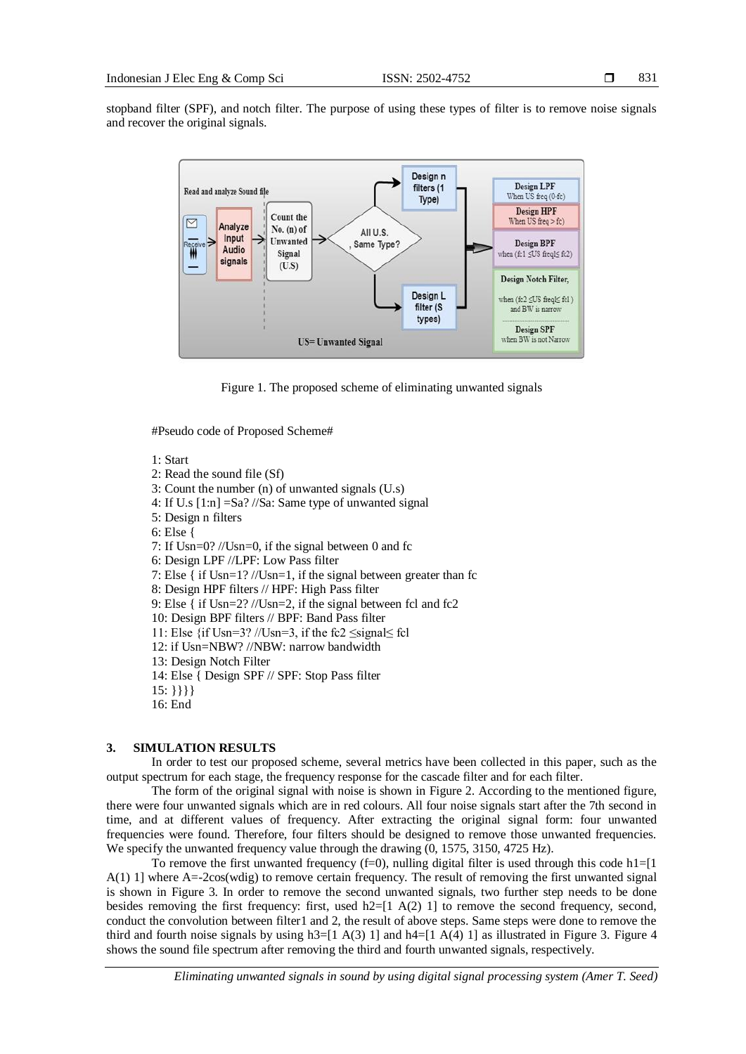stopband filter (SPF), and notch filter. The purpose of using these types of filter is to remove noise signals and recover the original signals.



Figure 1. The proposed scheme of eliminating unwanted signals

#Pseudo code of Proposed Scheme#

1: Start

2: Read the sound file (Sf)

- 3: Count the number (n) of unwanted signals (U.s)
- 4: If U.s [1:n] =Sa? //Sa: Same type of unwanted signal
- 5: Design n filters

6: Else {

7: If Usn=0? //Usn=0, if the signal between 0 and fc

6: Design LPF //LPF: Low Pass filter

7: Else { if Usn=1? //Usn=1, if the signal between greater than fc

8: Design HPF filters // HPF: High Pass filter

9: Else { if Usn=2? //Usn=2, if the signal between fcl and fc2

10: Design BPF filters // BPF: Band Pass filter

11: Else {if Usn=3? //Usn=3, if the fc2  $\leq$ signal $\leq$  fcl

12: if Usn=NBW? //NBW: narrow bandwidth

13: Design Notch Filter

14: Else { Design SPF // SPF: Stop Pass filter

- $15: \{\}\}$
- 16: End

## **3. SIMULATION RESULTS**

In order to test our proposed scheme, several metrics have been collected in this paper, such as the output spectrum for each stage, the frequency response for the cascade filter and for each filter.

The form of the original signal with noise is shown in Figure 2. According to the mentioned figure, there were four unwanted signals which are in red colours. All four noise signals start after the 7th second in time, and at different values of frequency. After extracting the original signal form: four unwanted frequencies were found. Therefore, four filters should be designed to remove those unwanted frequencies. We specify the unwanted frequency value through the drawing  $(0, 1575, 3150, 4725 \text{ Hz})$ .

To remove the first unwanted frequency  $(f=0)$ , nulling digital filter is used through this code h1=[1] A(1) 1] where A=-2cos(wdig) to remove certain frequency. The result of removing the first unwanted signal is shown in Figure 3. In order to remove the second unwanted signals, two further step needs to be done besides removing the first frequency: first, used h2=[1 A(2) 1] to remove the second frequency, second, conduct the convolution between filter1 and 2, the result of above steps. Same steps were done to remove the third and fourth noise signals by using  $h3=[1 A(3) 1]$  and  $h4=[1 A(4) 1]$  as illustrated in Figure 3. Figure 4 shows the sound file spectrum after removing the third and fourth unwanted signals, respectively.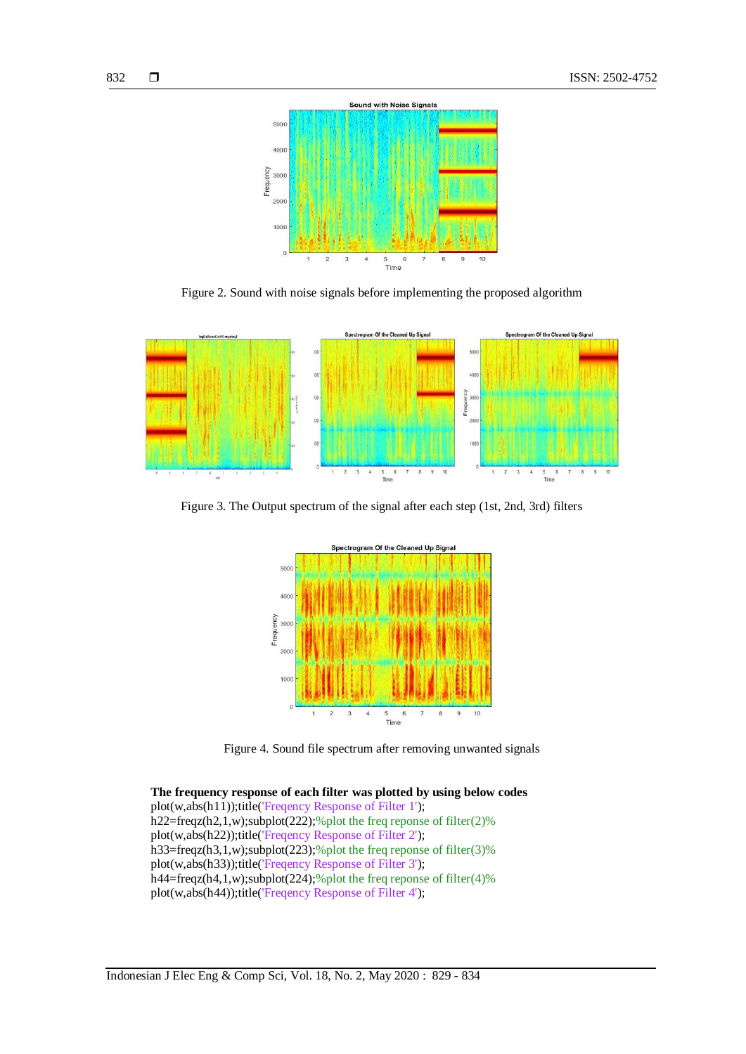

Figure 2. Sound with noise signals before implementing the proposed algorithm



Figure 3. The Output spectrum of the signal after each step (1st, 2nd, 3rd) filters



Figure 4. Sound file spectrum after removing unwanted signals

**The frequency response of each filter was plotted by using below codes** plot(w,abs(h11));title('Freqency Response of Filter 1'); h22=freqz(h2,1,w);subplot(222);%plot the freq reponse of filter(2)% plot(w,abs(h22));title('Freqency Response of Filter 2'); h33=freqz(h3,1,w);subplot(223);%plot the freq reponse of filter(3)% plot(w,abs(h33));title('Freqency Response of Filter 3'); h44=freqz(h4,1,w);subplot(224);%plot the freq reponse of filter(4)% plot(w,abs(h44));title('Freqency Response of Filter 4');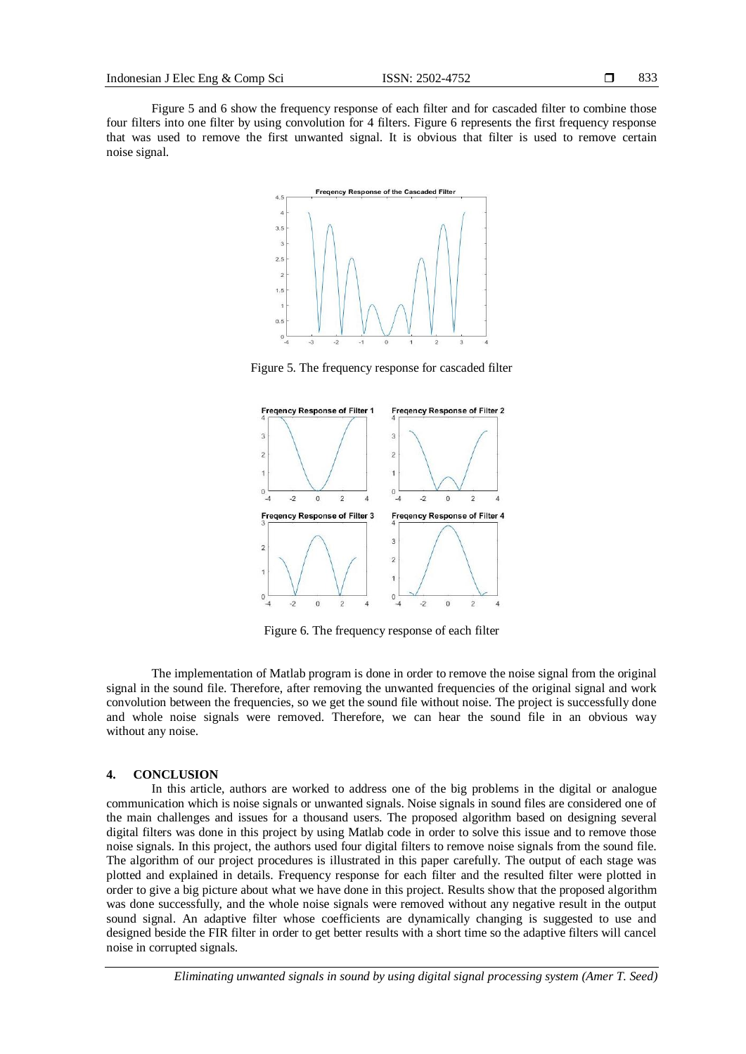Figure 5 and 6 show the frequency response of each filter and for cascaded filter to combine those four filters into one filter by using convolution for 4 filters. Figure 6 represents the first frequency response that was used to remove the first unwanted signal. It is obvious that filter is used to remove certain noise signal.



Figure 5. The frequency response for cascaded filter



Figure 6. The frequency response of each filter

The implementation of Matlab program is done in order to remove the noise signal from the original signal in the sound file. Therefore, after removing the unwanted frequencies of the original signal and work convolution between the frequencies, so we get the sound file without noise. The project is successfully done and whole noise signals were removed. Therefore, we can hear the sound file in an obvious way without any noise.

## **4. CONCLUSION**

In this article, authors are worked to address one of the big problems in the digital or analogue communication which is noise signals or unwanted signals. Noise signals in sound files are considered one of the main challenges and issues for a thousand users. The proposed algorithm based on designing several digital filters was done in this project by using Matlab code in order to solve this issue and to remove those noise signals. In this project, the authors used four digital filters to remove noise signals from the sound file. The algorithm of our project procedures is illustrated in this paper carefully. The output of each stage was plotted and explained in details. Frequency response for each filter and the resulted filter were plotted in order to give a big picture about what we have done in this project. Results show that the proposed algorithm was done successfully, and the whole noise signals were removed without any negative result in the output sound signal. An adaptive filter whose coefficients are dynamically changing is suggested to use and designed beside the FIR filter in order to get better results with a short time so the adaptive filters will cancel noise in corrupted signals.